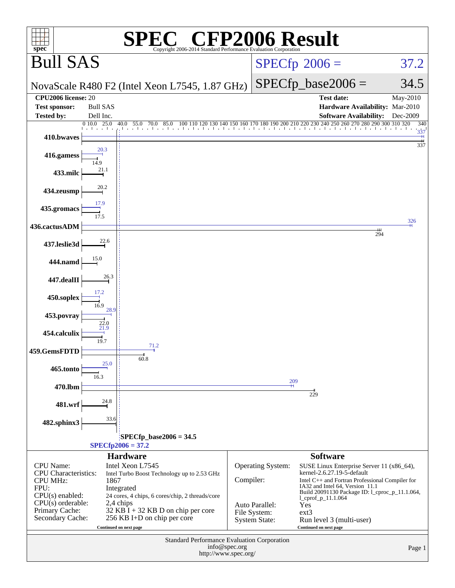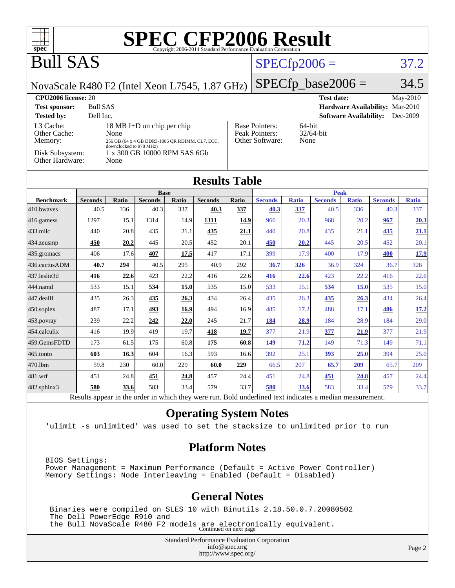

#### **[Operating System Notes](http://www.spec.org/auto/cpu2006/Docs/result-fields.html#OperatingSystemNotes)**

'ulimit -s unlimited' was used to set the stacksize to unlimited prior to run

#### **[Platform Notes](http://www.spec.org/auto/cpu2006/Docs/result-fields.html#PlatformNotes)**

BIOS Settings: Power Management = Maximum Performance (Default = Active Power Controller) Memory Settings: Node Interleaving = Enabled (Default = Disabled)

#### **[General Notes](http://www.spec.org/auto/cpu2006/Docs/result-fields.html#GeneralNotes)**

 Binaries were compiled on SLES 10 with Binutils 2.18.50.0.7.20080502 The Dell PowerEdge R910 and the Bull NovaScale R480 F2 models are electronically equivalent. Continued on next page

> Standard Performance Evaluation Corporation [info@spec.org](mailto:info@spec.org) <http://www.spec.org/>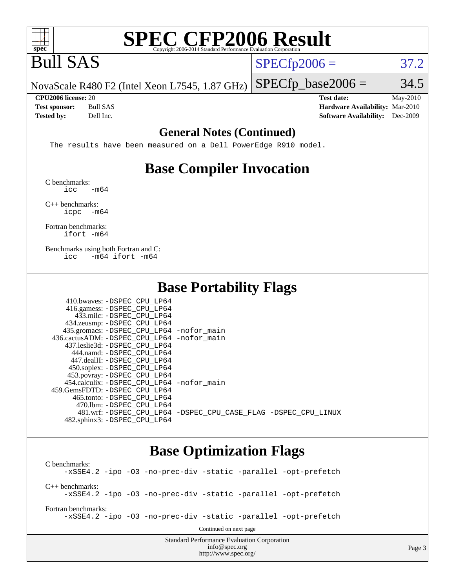

# **[SPEC CFP2006 Result](http://www.spec.org/auto/cpu2006/Docs/result-fields.html#SPECCFP2006Result)**

# Bull SAS

 $SPECTp2006 = 37.2$ 

 $SPECTp\_base2006 = 34.5$ 

Page 3

NovaScale R480 F2 (Intel Xeon L7545, 1.87 GHz)

**[Tested by:](http://www.spec.org/auto/cpu2006/Docs/result-fields.html#Testedby)** Dell Inc. **[Software Availability:](http://www.spec.org/auto/cpu2006/Docs/result-fields.html#SoftwareAvailability)** Dec-2009

**[CPU2006 license:](http://www.spec.org/auto/cpu2006/Docs/result-fields.html#CPU2006license)** 20 **[Test date:](http://www.spec.org/auto/cpu2006/Docs/result-fields.html#Testdate)** May-2010 **[Test sponsor:](http://www.spec.org/auto/cpu2006/Docs/result-fields.html#Testsponsor)** Bull SAS **[Hardware Availability:](http://www.spec.org/auto/cpu2006/Docs/result-fields.html#HardwareAvailability)** Mar-2010

#### **[General Notes \(Continued\)](http://www.spec.org/auto/cpu2006/Docs/result-fields.html#GeneralNotes)**

The results have been measured on a Dell PowerEdge R910 model.

### **[Base Compiler Invocation](http://www.spec.org/auto/cpu2006/Docs/result-fields.html#BaseCompilerInvocation)**

[C benchmarks](http://www.spec.org/auto/cpu2006/Docs/result-fields.html#Cbenchmarks):  $\text{icc}$   $-\text{m64}$ 

[C++ benchmarks:](http://www.spec.org/auto/cpu2006/Docs/result-fields.html#CXXbenchmarks) [icpc -m64](http://www.spec.org/cpu2006/results/res2010q3/cpu2006-20100621-11955.flags.html#user_CXXbase_intel_icpc_64bit_bedb90c1146cab66620883ef4f41a67e)

[Fortran benchmarks](http://www.spec.org/auto/cpu2006/Docs/result-fields.html#Fortranbenchmarks): [ifort -m64](http://www.spec.org/cpu2006/results/res2010q3/cpu2006-20100621-11955.flags.html#user_FCbase_intel_ifort_64bit_ee9d0fb25645d0210d97eb0527dcc06e)

[Benchmarks using both Fortran and C](http://www.spec.org/auto/cpu2006/Docs/result-fields.html#BenchmarksusingbothFortranandC): [icc -m64](http://www.spec.org/cpu2006/results/res2010q3/cpu2006-20100621-11955.flags.html#user_CC_FCbase_intel_icc_64bit_0b7121f5ab7cfabee23d88897260401c) [ifort -m64](http://www.spec.org/cpu2006/results/res2010q3/cpu2006-20100621-11955.flags.html#user_CC_FCbase_intel_ifort_64bit_ee9d0fb25645d0210d97eb0527dcc06e)

#### **[Base Portability Flags](http://www.spec.org/auto/cpu2006/Docs/result-fields.html#BasePortabilityFlags)**

| 410.bwaves: -DSPEC CPU LP64                |                                                                |
|--------------------------------------------|----------------------------------------------------------------|
| 416.gamess: -DSPEC_CPU_LP64                |                                                                |
| 433.milc: -DSPEC CPU LP64                  |                                                                |
| 434.zeusmp: -DSPEC_CPU_LP64                |                                                                |
| 435.gromacs: -DSPEC_CPU_LP64 -nofor_main   |                                                                |
| 436.cactusADM: -DSPEC CPU LP64 -nofor main |                                                                |
| 437.leslie3d: -DSPEC CPU LP64              |                                                                |
| 444.namd: -DSPEC CPU LP64                  |                                                                |
| 447.dealII: -DSPEC CPU LP64                |                                                                |
| 450.soplex: -DSPEC_CPU_LP64                |                                                                |
| 453.povray: -DSPEC_CPU_LP64                |                                                                |
| 454.calculix: -DSPEC CPU LP64 -nofor main  |                                                                |
| 459.GemsFDTD: -DSPEC CPU LP64              |                                                                |
| 465.tonto: - DSPEC CPU LP64                |                                                                |
| 470.1bm: - DSPEC CPU LP64                  |                                                                |
|                                            | 481.wrf: -DSPEC CPU_LP64 -DSPEC_CPU_CASE_FLAG -DSPEC_CPU_LINUX |
| 482.sphinx3: -DSPEC CPU LP64               |                                                                |

#### **[Base Optimization Flags](http://www.spec.org/auto/cpu2006/Docs/result-fields.html#BaseOptimizationFlags)**

[info@spec.org](mailto:info@spec.org) <http://www.spec.org/>

Standard Performance Evaluation Corporation [C benchmarks](http://www.spec.org/auto/cpu2006/Docs/result-fields.html#Cbenchmarks): [-xSSE4.2](http://www.spec.org/cpu2006/results/res2010q3/cpu2006-20100621-11955.flags.html#user_CCbase_f-xSSE42_f91528193cf0b216347adb8b939d4107) [-ipo](http://www.spec.org/cpu2006/results/res2010q3/cpu2006-20100621-11955.flags.html#user_CCbase_f-ipo) [-O3](http://www.spec.org/cpu2006/results/res2010q3/cpu2006-20100621-11955.flags.html#user_CCbase_f-O3) [-no-prec-div](http://www.spec.org/cpu2006/results/res2010q3/cpu2006-20100621-11955.flags.html#user_CCbase_f-no-prec-div) [-static](http://www.spec.org/cpu2006/results/res2010q3/cpu2006-20100621-11955.flags.html#user_CCbase_f-static) [-parallel](http://www.spec.org/cpu2006/results/res2010q3/cpu2006-20100621-11955.flags.html#user_CCbase_f-parallel) [-opt-prefetch](http://www.spec.org/cpu2006/results/res2010q3/cpu2006-20100621-11955.flags.html#user_CCbase_f-opt-prefetch) [C++ benchmarks:](http://www.spec.org/auto/cpu2006/Docs/result-fields.html#CXXbenchmarks) [-xSSE4.2](http://www.spec.org/cpu2006/results/res2010q3/cpu2006-20100621-11955.flags.html#user_CXXbase_f-xSSE42_f91528193cf0b216347adb8b939d4107) [-ipo](http://www.spec.org/cpu2006/results/res2010q3/cpu2006-20100621-11955.flags.html#user_CXXbase_f-ipo) [-O3](http://www.spec.org/cpu2006/results/res2010q3/cpu2006-20100621-11955.flags.html#user_CXXbase_f-O3) [-no-prec-div](http://www.spec.org/cpu2006/results/res2010q3/cpu2006-20100621-11955.flags.html#user_CXXbase_f-no-prec-div) [-static](http://www.spec.org/cpu2006/results/res2010q3/cpu2006-20100621-11955.flags.html#user_CXXbase_f-static) [-parallel](http://www.spec.org/cpu2006/results/res2010q3/cpu2006-20100621-11955.flags.html#user_CXXbase_f-parallel) [-opt-prefetch](http://www.spec.org/cpu2006/results/res2010q3/cpu2006-20100621-11955.flags.html#user_CXXbase_f-opt-prefetch) [Fortran benchmarks](http://www.spec.org/auto/cpu2006/Docs/result-fields.html#Fortranbenchmarks): [-xSSE4.2](http://www.spec.org/cpu2006/results/res2010q3/cpu2006-20100621-11955.flags.html#user_FCbase_f-xSSE42_f91528193cf0b216347adb8b939d4107) [-ipo](http://www.spec.org/cpu2006/results/res2010q3/cpu2006-20100621-11955.flags.html#user_FCbase_f-ipo) [-O3](http://www.spec.org/cpu2006/results/res2010q3/cpu2006-20100621-11955.flags.html#user_FCbase_f-O3) [-no-prec-div](http://www.spec.org/cpu2006/results/res2010q3/cpu2006-20100621-11955.flags.html#user_FCbase_f-no-prec-div) [-static](http://www.spec.org/cpu2006/results/res2010q3/cpu2006-20100621-11955.flags.html#user_FCbase_f-static) [-parallel](http://www.spec.org/cpu2006/results/res2010q3/cpu2006-20100621-11955.flags.html#user_FCbase_f-parallel) [-opt-prefetch](http://www.spec.org/cpu2006/results/res2010q3/cpu2006-20100621-11955.flags.html#user_FCbase_f-opt-prefetch) Continued on next page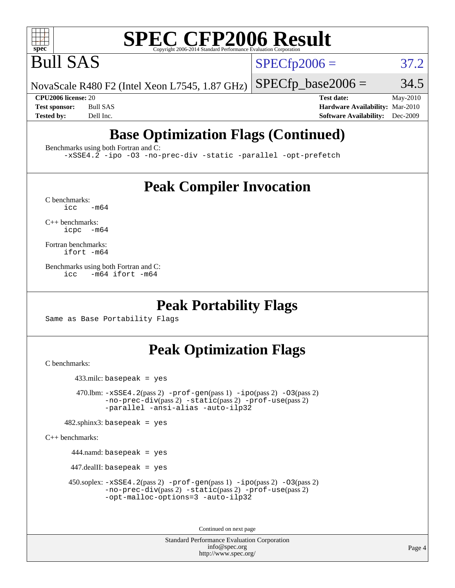

# **[SPEC CFP2006 Result](http://www.spec.org/auto/cpu2006/Docs/result-fields.html#SPECCFP2006Result)**

Bull SAS

 $SPECTp2006 = 37.2$ 

NovaScale R480 F2 (Intel Xeon L7545, 1.87 GHz)  $SPECTp\_base2006 = 34.5$ 

**[CPU2006 license:](http://www.spec.org/auto/cpu2006/Docs/result-fields.html#CPU2006license)** 20 **[Test date:](http://www.spec.org/auto/cpu2006/Docs/result-fields.html#Testdate)** May-2010 **[Test sponsor:](http://www.spec.org/auto/cpu2006/Docs/result-fields.html#Testsponsor)** Bull SAS **[Hardware Availability:](http://www.spec.org/auto/cpu2006/Docs/result-fields.html#HardwareAvailability)** Mar-2010 **[Tested by:](http://www.spec.org/auto/cpu2006/Docs/result-fields.html#Testedby)** Dell Inc. **[Software Availability:](http://www.spec.org/auto/cpu2006/Docs/result-fields.html#SoftwareAvailability)** Dec-2009

## **[Base Optimization Flags \(Continued\)](http://www.spec.org/auto/cpu2006/Docs/result-fields.html#BaseOptimizationFlags)**

[Benchmarks using both Fortran and C](http://www.spec.org/auto/cpu2006/Docs/result-fields.html#BenchmarksusingbothFortranandC):

[-xSSE4.2](http://www.spec.org/cpu2006/results/res2010q3/cpu2006-20100621-11955.flags.html#user_CC_FCbase_f-xSSE42_f91528193cf0b216347adb8b939d4107) [-ipo](http://www.spec.org/cpu2006/results/res2010q3/cpu2006-20100621-11955.flags.html#user_CC_FCbase_f-ipo) [-O3](http://www.spec.org/cpu2006/results/res2010q3/cpu2006-20100621-11955.flags.html#user_CC_FCbase_f-O3) [-no-prec-div](http://www.spec.org/cpu2006/results/res2010q3/cpu2006-20100621-11955.flags.html#user_CC_FCbase_f-no-prec-div) [-static](http://www.spec.org/cpu2006/results/res2010q3/cpu2006-20100621-11955.flags.html#user_CC_FCbase_f-static) [-parallel](http://www.spec.org/cpu2006/results/res2010q3/cpu2006-20100621-11955.flags.html#user_CC_FCbase_f-parallel) [-opt-prefetch](http://www.spec.org/cpu2006/results/res2010q3/cpu2006-20100621-11955.flags.html#user_CC_FCbase_f-opt-prefetch)

### **[Peak Compiler Invocation](http://www.spec.org/auto/cpu2006/Docs/result-fields.html#PeakCompilerInvocation)**

 $C$  benchmarks:<br>icc  $-m64$ 

[C++ benchmarks:](http://www.spec.org/auto/cpu2006/Docs/result-fields.html#CXXbenchmarks) [icpc -m64](http://www.spec.org/cpu2006/results/res2010q3/cpu2006-20100621-11955.flags.html#user_CXXpeak_intel_icpc_64bit_bedb90c1146cab66620883ef4f41a67e)

[Fortran benchmarks](http://www.spec.org/auto/cpu2006/Docs/result-fields.html#Fortranbenchmarks): [ifort -m64](http://www.spec.org/cpu2006/results/res2010q3/cpu2006-20100621-11955.flags.html#user_FCpeak_intel_ifort_64bit_ee9d0fb25645d0210d97eb0527dcc06e)

[Benchmarks using both Fortran and C](http://www.spec.org/auto/cpu2006/Docs/result-fields.html#BenchmarksusingbothFortranandC): [icc -m64](http://www.spec.org/cpu2006/results/res2010q3/cpu2006-20100621-11955.flags.html#user_CC_FCpeak_intel_icc_64bit_0b7121f5ab7cfabee23d88897260401c) [ifort -m64](http://www.spec.org/cpu2006/results/res2010q3/cpu2006-20100621-11955.flags.html#user_CC_FCpeak_intel_ifort_64bit_ee9d0fb25645d0210d97eb0527dcc06e)

#### **[Peak Portability Flags](http://www.spec.org/auto/cpu2006/Docs/result-fields.html#PeakPortabilityFlags)**

Same as Base Portability Flags

## **[Peak Optimization Flags](http://www.spec.org/auto/cpu2006/Docs/result-fields.html#PeakOptimizationFlags)**

[C benchmarks](http://www.spec.org/auto/cpu2006/Docs/result-fields.html#Cbenchmarks):

433.milc: basepeak = yes

470.1bm:  $-xSSE4$ . 2(pass 2)  $-prof-gen(pass 1) -ipo(pass 2) -O3(pass 2)$  $-prof-gen(pass 1) -ipo(pass 2) -O3(pass 2)$  $-prof-gen(pass 1) -ipo(pass 2) -O3(pass 2)$  $-prof-gen(pass 1) -ipo(pass 2) -O3(pass 2)$  $-prof-gen(pass 1) -ipo(pass 2) -O3(pass 2)$  $-prof-gen(pass 1) -ipo(pass 2) -O3(pass 2)$ [-no-prec-div](http://www.spec.org/cpu2006/results/res2010q3/cpu2006-20100621-11955.flags.html#user_peakPASS2_CFLAGSPASS2_LDFLAGS470_lbm_f-no-prec-div)(pass 2) [-static](http://www.spec.org/cpu2006/results/res2010q3/cpu2006-20100621-11955.flags.html#user_peakPASS2_CFLAGSPASS2_LDFLAGS470_lbm_f-static)(pass 2) [-prof-use](http://www.spec.org/cpu2006/results/res2010q3/cpu2006-20100621-11955.flags.html#user_peakPASS2_CFLAGSPASS2_LDFLAGS470_lbm_prof_use_bccf7792157ff70d64e32fe3e1250b55)(pass 2) [-parallel](http://www.spec.org/cpu2006/results/res2010q3/cpu2006-20100621-11955.flags.html#user_peakOPTIMIZE470_lbm_f-parallel) [-ansi-alias](http://www.spec.org/cpu2006/results/res2010q3/cpu2006-20100621-11955.flags.html#user_peakOPTIMIZE470_lbm_f-ansi-alias) [-auto-ilp32](http://www.spec.org/cpu2006/results/res2010q3/cpu2006-20100621-11955.flags.html#user_peakCOPTIMIZE470_lbm_f-auto-ilp32)

 $482$ .sphinx3: basepeak = yes

[C++ benchmarks:](http://www.spec.org/auto/cpu2006/Docs/result-fields.html#CXXbenchmarks)

444.namd: basepeak = yes

 $447$ .dealII: basepeak = yes

 450.soplex: [-xSSE4.2](http://www.spec.org/cpu2006/results/res2010q3/cpu2006-20100621-11955.flags.html#user_peakPASS2_CXXFLAGSPASS2_LDFLAGS450_soplex_f-xSSE42_f91528193cf0b216347adb8b939d4107)(pass 2) [-prof-gen](http://www.spec.org/cpu2006/results/res2010q3/cpu2006-20100621-11955.flags.html#user_peakPASS1_CXXFLAGSPASS1_LDFLAGS450_soplex_prof_gen_e43856698f6ca7b7e442dfd80e94a8fc)(pass 1) [-ipo](http://www.spec.org/cpu2006/results/res2010q3/cpu2006-20100621-11955.flags.html#user_peakPASS2_CXXFLAGSPASS2_LDFLAGS450_soplex_f-ipo)(pass 2) [-O3](http://www.spec.org/cpu2006/results/res2010q3/cpu2006-20100621-11955.flags.html#user_peakPASS2_CXXFLAGSPASS2_LDFLAGS450_soplex_f-O3)(pass 2) [-no-prec-div](http://www.spec.org/cpu2006/results/res2010q3/cpu2006-20100621-11955.flags.html#user_peakPASS2_CXXFLAGSPASS2_LDFLAGS450_soplex_f-no-prec-div)(pass 2) [-static](http://www.spec.org/cpu2006/results/res2010q3/cpu2006-20100621-11955.flags.html#user_peakPASS2_CXXFLAGSPASS2_LDFLAGS450_soplex_f-static)(pass 2) [-prof-use](http://www.spec.org/cpu2006/results/res2010q3/cpu2006-20100621-11955.flags.html#user_peakPASS2_CXXFLAGSPASS2_LDFLAGS450_soplex_prof_use_bccf7792157ff70d64e32fe3e1250b55)(pass 2) [-opt-malloc-options=3](http://www.spec.org/cpu2006/results/res2010q3/cpu2006-20100621-11955.flags.html#user_peakOPTIMIZE450_soplex_f-opt-malloc-options_13ab9b803cf986b4ee62f0a5998c2238) [-auto-ilp32](http://www.spec.org/cpu2006/results/res2010q3/cpu2006-20100621-11955.flags.html#user_peakCXXOPTIMIZE450_soplex_f-auto-ilp32)

Continued on next page

Standard Performance Evaluation Corporation [info@spec.org](mailto:info@spec.org) <http://www.spec.org/>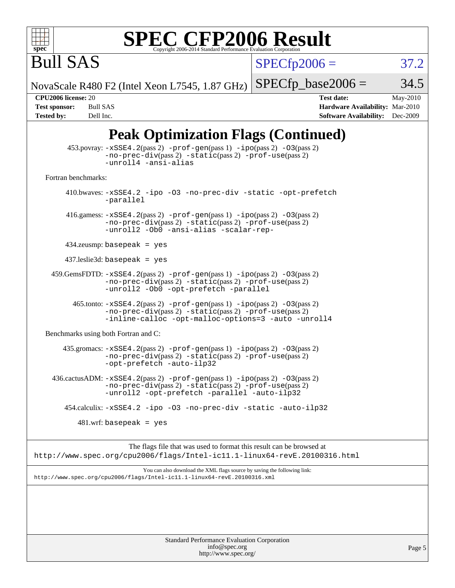

# **[SPEC CFP2006 Result](http://www.spec.org/auto/cpu2006/Docs/result-fields.html#SPECCFP2006Result)**

 $SPECfp2006 = 37.2$  $SPECfp2006 = 37.2$ 

NovaScale R480 F2 (Intel Xeon L7545, 1.87 GHz)

 $SPECfp\_base2006 = 34.5$ 

Bull SAS

**[CPU2006 license:](http://www.spec.org/auto/cpu2006/Docs/result-fields.html#CPU2006license)** 20 **[Test date:](http://www.spec.org/auto/cpu2006/Docs/result-fields.html#Testdate)** May-2010 **[Test sponsor:](http://www.spec.org/auto/cpu2006/Docs/result-fields.html#Testsponsor)** Bull SAS **[Hardware Availability:](http://www.spec.org/auto/cpu2006/Docs/result-fields.html#HardwareAvailability)** Mar-2010 **[Tested by:](http://www.spec.org/auto/cpu2006/Docs/result-fields.html#Testedby)** Dell Inc. **[Software Availability:](http://www.spec.org/auto/cpu2006/Docs/result-fields.html#SoftwareAvailability)** Dec-2009

## **[Peak Optimization Flags \(Continued\)](http://www.spec.org/auto/cpu2006/Docs/result-fields.html#PeakOptimizationFlags)**

|                                      | $453.$ povray: $-xSSE4.2(pass 2) -prof-gen(pass 1) -ipo(pass 2) -O3(pass 2)$<br>$-no-prec-div(pass 2) -static(pass 2) -prof-use(pass 2)$<br>-unroll4 -ansi-alias                                                              |          |
|--------------------------------------|-------------------------------------------------------------------------------------------------------------------------------------------------------------------------------------------------------------------------------|----------|
| Fortran benchmarks:                  |                                                                                                                                                                                                                               |          |
|                                      | 410.bwaves: -xSSE4.2 -ipo -03 -no-prec-div -static -opt-prefetch<br>-parallel                                                                                                                                                 |          |
|                                      | 416.gamess: $-xSSE4$ . 2(pass 2) $-prof-gen(pass 1) -ipo(pass 2) -O3(pass 2)$<br>-no-prec-div(pass 2) -static(pass 2) -prof-use(pass 2)<br>-unroll2 -Ob0 -ansi-alias -scalar-rep-                                             |          |
|                                      | $434$ .zeusmp: basepeak = yes                                                                                                                                                                                                 |          |
|                                      | $437$ .leslie3d: basepeak = yes                                                                                                                                                                                               |          |
|                                      | $459. \text{GemsFDTD: } -x \text{SSE4}.2(\text{pass 2}) - \text{prof-gen(pass 1)} - \text{ipo(pass 2)} -03(\text{pass 2})$<br>-no-prec-div(pass 2) -static(pass 2) -prof-use(pass 2)<br>-unroll2 -Ob0 -opt-prefetch -parallel |          |
|                                      | $465$ .tonto: $-xSSE4$ . $2(pass 2)$ -prof-gen(pass 1) -ipo(pass 2) -03(pass 2)<br>-no-prec-div(pass 2) -static(pass 2) -prof-use(pass 2)<br>-inline-calloc -opt-malloc-options=3 -auto -unroll4                              |          |
| Benchmarks using both Fortran and C: |                                                                                                                                                                                                                               |          |
|                                      | $435$ .gromacs: $-xSSE4$ . 2(pass 2) $-prof-gen(pass 1) -ipo(pass 2) -03(pass 2)$<br>-no-prec-div(pass 2) -static(pass 2) -prof-use(pass 2)<br>-opt-prefetch -auto-ilp32                                                      |          |
|                                      | 436.cactusADM: -xSSE4.2(pass 2) -prof-gen(pass 1) -ipo(pass 2) -03(pass 2)<br>$-no-prec-div(pass 2) -static(pass 2) -prof-use(pass 2)$<br>-unroll2 -opt-prefetch -parallel -auto-ilp32                                        |          |
|                                      | 454.calculix: -xSSE4.2 -ipo -03 -no-prec-div -static -auto-ilp32                                                                                                                                                              |          |
|                                      | $481.wrf$ : basepeak = yes                                                                                                                                                                                                    |          |
|                                      | The flags file that was used to format this result can be browsed at<br>http://www.spec.org/cpu2006/flags/Intel-ic11.1-linux64-revE.20100316.html                                                                             |          |
|                                      | You can also download the XML flags source by saving the following link:<br>http://www.spec.org/cpu2006/flags/Intel-icll.1-linux64-revE.20100316.xml                                                                          |          |
|                                      |                                                                                                                                                                                                                               |          |
|                                      |                                                                                                                                                                                                                               |          |
|                                      |                                                                                                                                                                                                                               |          |
|                                      | Standard Performance Evaluation Corporation<br>info@spec.org                                                                                                                                                                  | Page $5$ |

<http://www.spec.org/>